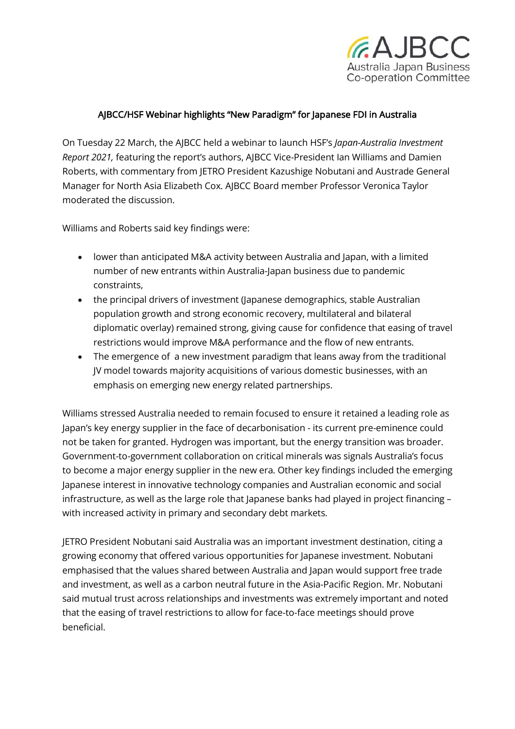

## AJBCC/HSF Webinar highlights "New Paradigm" for Japanese FDI in Australia

On Tuesday 22 March, the AJBCC held a webinar to launch HSF's *Japan-Australia Investment Report 2021,* featuring the report's authors, AJBCC Vice-President Ian Williams and Damien Roberts, with commentary from JETRO President Kazushige Nobutani and Austrade General Manager for North Asia Elizabeth Cox. AJBCC Board member Professor Veronica Taylor moderated the discussion.

Williams and Roberts said key findings were:

- lower than anticipated M&A activity between Australia and Japan, with a limited number of new entrants within Australia-Japan business due to pandemic constraints,
- the principal drivers of investment (Japanese demographics, stable Australian population growth and strong economic recovery, multilateral and bilateral diplomatic overlay) remained strong, giving cause for confidence that easing of travel restrictions would improve M&A performance and the flow of new entrants.
- The emergence of a new investment paradigm that leans away from the traditional JV model towards majority acquisitions of various domestic businesses, with an emphasis on emerging new energy related partnerships.

Williams stressed Australia needed to remain focused to ensure it retained a leading role as Japan's key energy supplier in the face of decarbonisation - its current pre-eminence could not be taken for granted. Hydrogen was important, but the energy transition was broader. Government-to-government collaboration on critical minerals was signals Australia's focus to become a major energy supplier in the new era. Other key findings included the emerging Japanese interest in innovative technology companies and Australian economic and social infrastructure, as well as the large role that Japanese banks had played in project financing – with increased activity in primary and secondary debt markets.

JETRO President Nobutani said Australia was an important investment destination, citing a growing economy that offered various opportunities for Japanese investment. Nobutani emphasised that the values shared between Australia and Japan would support free trade and investment, as well as a carbon neutral future in the Asia-Pacific Region. Mr. Nobutani said mutual trust across relationships and investments was extremely important and noted that the easing of travel restrictions to allow for face-to-face meetings should prove beneficial.